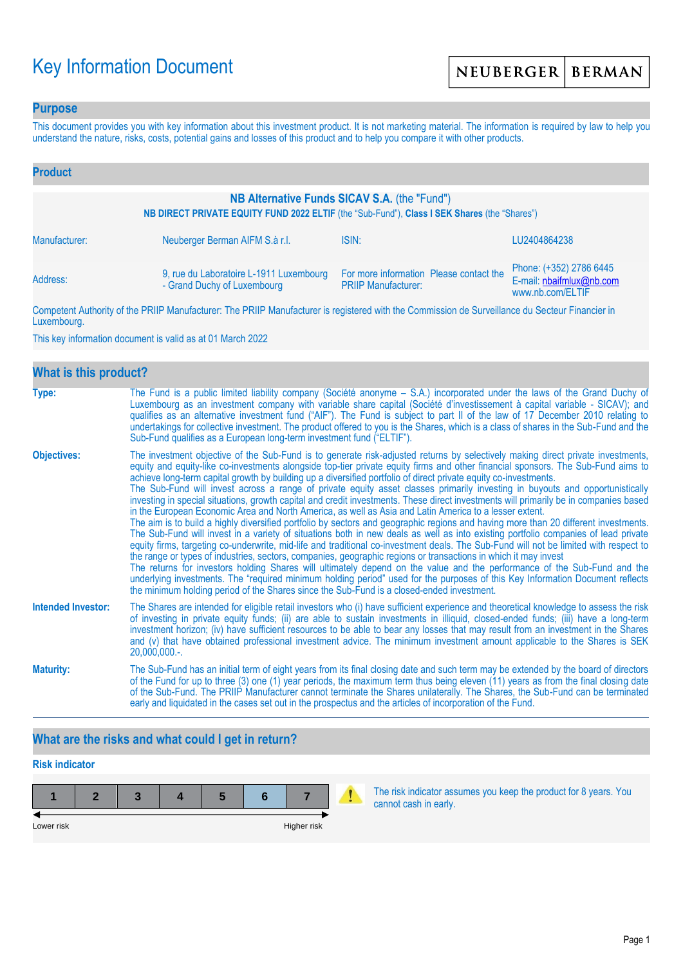# Key Information Document

## **Purpose**

This document provides you with key information about this investment product. It is not marketing material. The information is required by law to help you understand the nature, risks, costs, potential gains and losses of this product and to help you compare it with other products.

| <b>Product</b>                                                                                                                               |                                                                        |                                                                       |                                                                         |  |  |
|----------------------------------------------------------------------------------------------------------------------------------------------|------------------------------------------------------------------------|-----------------------------------------------------------------------|-------------------------------------------------------------------------|--|--|
| NB Alternative Funds SICAV S.A. (the "Fund")<br>NB DIRECT PRIVATE EQUITY FUND 2022 ELTIF (the "Sub-Fund"), Class I SEK Shares (the "Shares") |                                                                        |                                                                       |                                                                         |  |  |
| Manufacturer:                                                                                                                                | Neuberger Berman AIFM S.à r.l.                                         | ISIN:                                                                 | LU2404864238                                                            |  |  |
| Address:                                                                                                                                     | 9, rue du Laboratoire L-1911 Luxembourg<br>- Grand Duchy of Luxembourg | For more information Please contact the<br><b>PRIIP Manufacturer:</b> | Phone: (+352) 2786 6445<br>E-mail: nbaifmlux@nb.com<br>www.nb.com/ELTIF |  |  |

Competent Authority of the PRIIP Manufacturer: The PRIIP Manufacturer is registered with the Commission de Surveillance du Secteur Financier in Luxembourg.

This key information document is valid as at 01 March 2022

| What is this product?     |                                                                                                                                                                                                                                                                                                                                                                                                                                                                                                                                                                                                                                                                                                                                                                                                                                                                                                                                                                                                                                                                                                                                                                                                                                                                                                                                                                                                                                                                                                                                                                                                                                                                               |
|---------------------------|-------------------------------------------------------------------------------------------------------------------------------------------------------------------------------------------------------------------------------------------------------------------------------------------------------------------------------------------------------------------------------------------------------------------------------------------------------------------------------------------------------------------------------------------------------------------------------------------------------------------------------------------------------------------------------------------------------------------------------------------------------------------------------------------------------------------------------------------------------------------------------------------------------------------------------------------------------------------------------------------------------------------------------------------------------------------------------------------------------------------------------------------------------------------------------------------------------------------------------------------------------------------------------------------------------------------------------------------------------------------------------------------------------------------------------------------------------------------------------------------------------------------------------------------------------------------------------------------------------------------------------------------------------------------------------|
| Type:                     | The Fund is a public limited liability company (Société anonyme – S.A.) incorporated under the laws of the Grand Duchy of<br>Luxembourg as an investment company with variable share capital (Société d'investissement à capital variable - SICAV); and<br>qualifies as an alternative investment fund ("AIF"). The Fund is subject to part II of the law of 17 December 2010 relating to<br>undertakings for collective investment. The product offered to you is the Shares, which is a class of shares in the Sub-Fund and the<br>Sub-Fund qualifies as a European long-term investment fund ("ELTIF").                                                                                                                                                                                                                                                                                                                                                                                                                                                                                                                                                                                                                                                                                                                                                                                                                                                                                                                                                                                                                                                                    |
| <b>Objectives:</b>        | The investment objective of the Sub-Fund is to generate risk-adjusted returns by selectively making direct private investments,<br>equity and equity-like co-investments alongside top-tier private equity firms and other financial sponsors. The Sub-Fund aims to<br>achieve long-term capital growth by building up a diversified portfolio of direct private equity co-investments.<br>The Sub-Fund will invest across a range of private equity asset classes primarily investing in buyouts and opportunistically<br>investing in special situations, growth capital and credit investments. These direct investments will primarily be in companies based<br>in the European Economic Area and North America, as well as Asia and Latin America to a lesser extent.<br>The aim is to build a highly diversified portfolio by sectors and geographic regions and having more than 20 different investments.<br>The Sub-Fund will invest in a variety of situations both in new deals as well as into existing portfolio companies of lead private<br>equity firms, targeting co-underwrite, mid-life and traditional co-investment deals. The Sub-Fund will not be limited with respect to<br>the range or types of industries, sectors, companies, geographic regions or transactions in which it may invest<br>The returns for investors holding Shares will ultimately depend on the value and the performance of the Sub-Fund and the<br>underlying investments. The "required minimum holding period" used for the purposes of this Key Information Document reflects<br>the minimum holding period of the Shares since the Sub-Fund is a closed-ended investment. |
| <b>Intended Investor:</b> | The Shares are intended for eligible retail investors who (i) have sufficient experience and theoretical knowledge to assess the risk<br>of investing in private equity funds; (ii) are able to sustain investments in illiquid, closed-ended funds; (iii) have a long-term<br>investment horizon; (iv) have sufficient resources to be able to bear any losses that may result from an investment in the Shares<br>and (v) that have obtained professional investment advice. The minimum investment amount applicable to the Shares is SEK<br>$20,000,000.$ -.                                                                                                                                                                                                                                                                                                                                                                                                                                                                                                                                                                                                                                                                                                                                                                                                                                                                                                                                                                                                                                                                                                              |
| <b>Maturity:</b>          | The Sub-Fund has an initial term of eight years from its final closing date and such term may be extended by the board of directors<br>of the Fund for up to three (3) one (1) year periods, the maximum term thus being eleven (11) years as from the final closing date<br>of the Sub-Fund. The PRIIP Manufacturer cannot terminate the Shares unilaterally. The Shares, the Sub-Fund can be terminated<br>early and liquidated in the cases set out in the prospectus and the articles of incorporation of the Fund.                                                                                                                                                                                                                                                                                                                                                                                                                                                                                                                                                                                                                                                                                                                                                                                                                                                                                                                                                                                                                                                                                                                                                       |

# **What are the risks and what could I get in return?**

#### **Risk indicator**

| Lower risk |  |  | Higher risk |  |
|------------|--|--|-------------|--|

The risk indicator assumes you keep the product for 8 years. You cannot cash in early.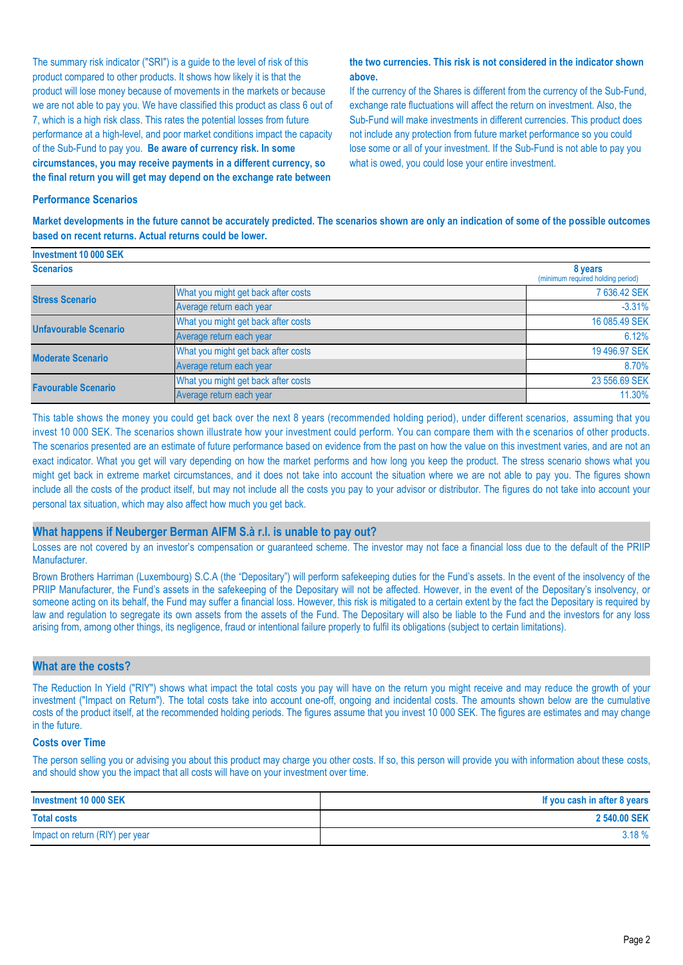The summary risk indicator ("SRI") is a guide to the level of risk of this product compared to other products. It shows how likely it is that the product will lose money because of movements in the markets or because we are not able to pay you. We have classified this product as class 6 out of 7, which is a high risk class. This rates the potential losses from future performance at a high-level, and poor market conditions impact the capacity of the Sub-Fund to pay you. **Be aware of currency risk. In some circumstances, you may receive payments in a different currency, so the final return you will get may depend on the exchange rate between** 

#### **the two currencies. This risk is not considered in the indicator shown above.**

If the currency of the Shares is different from the currency of the Sub-Fund, exchange rate fluctuations will affect the return on investment. Also, the Sub-Fund will make investments in different currencies. This product does not include any protection from future market performance so you could lose some or all of your investment. If the Sub-Fund is not able to pay you what is owed, you could lose your entire investment.

#### **Performance Scenarios**

**Investment 10 000 SEK**

**Market developments in the future cannot be accurately predicted. The scenarios shown are only an indication of some of the possible outcomes based on recent returns. Actual returns could be lower.**

| <b>INVESURENT TU UUU SER</b> |                                              |               |
|------------------------------|----------------------------------------------|---------------|
| <b>Scenarios</b>             | 8 years<br>(minimum required holding period) |               |
| <b>Stress Scenario</b>       | What you might get back after costs          | 7 636.42 SEK  |
|                              | Average return each year                     | $-3.31%$      |
| <b>Unfavourable Scenario</b> | What you might get back after costs          | 16 085.49 SEK |
|                              | Average return each year                     | 6.12%         |
| <b>Moderate Scenario</b>     | What you might get back after costs          | 19 496.97 SEK |
|                              | Average return each year                     | 8.70%         |
| <b>Favourable Scenario</b>   | What you might get back after costs          | 23 556.69 SEK |
|                              | Average return each year                     | 11.30%        |

This table shows the money you could get back over the next 8 years (recommended holding period), under different scenarios, assuming that you invest 10 000 SEK. The scenarios shown illustrate how your investment could perform. You can compare them with the scenarios of other products. The scenarios presented are an estimate of future performance based on evidence from the past on how the value on this investment varies, and are not an exact indicator. What you get will vary depending on how the market performs and how long you keep the product. The stress scenario shows what you might get back in extreme market circumstances, and it does not take into account the situation where we are not able to pay you. The figures shown include all the costs of the product itself, but may not include all the costs you pay to your advisor or distributor. The figures do not take into account your personal tax situation, which may also affect how much you get back.

#### **What happens if Neuberger Berman AIFM S.à r.l. is unable to pay out?**

Losses are not covered by an investor's compensation or guaranteed scheme. The investor may not face a financial loss due to the default of the PRIIP Manufacturer.

Brown Brothers Harriman (Luxembourg) S.C.A (the "Depositary") will perform safekeeping duties for the Fund's assets. In the event of the insolvency of the PRIIP Manufacturer, the Fund's assets in the safekeeping of the Depositary will not be affected. However, in the event of the Depositary's insolvency, or someone acting on its behalf, the Fund may suffer a financial loss. However, this risk is mitigated to a certain extent by the fact the Depositary is required by law and regulation to segregate its own assets from the assets of the Fund. The Depositary will also be liable to the Fund and the investors for any loss arising from, among other things, its negligence, fraud or intentional failure properly to fulfil its obligations (subject to certain limitations).

#### **What are the costs?**

The Reduction In Yield ("RIY") shows what impact the total costs you pay will have on the return you might receive and may reduce the growth of your investment ("Impact on Return"). The total costs take into account one-off, ongoing and incidental costs. The amounts shown below are the cumulative costs of the product itself, at the recommended holding periods. The figures assume that you invest 10 000 SEK. The figures are estimates and may change in the future.

#### **Costs over Time**

The person selling you or advising you about this product may charge you other costs. If so, this person will provide you with information about these costs, and should show you the impact that all costs will have on your investment over time.

| Investment 10 000 SEK           | If you cash in after 8 years |
|---------------------------------|------------------------------|
| <b>Total costs</b>              | 2 540.00 SEK                 |
| Impact on return (RIY) per year | 3.18%                        |